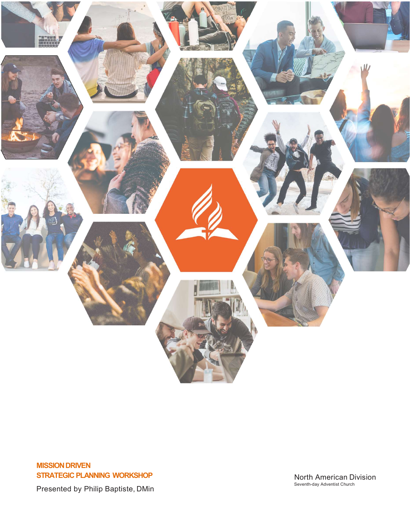

## MISSION DRIVEN STRATEGIC PLANNING WORKSHOP

North American Division<br>Seventh-day Adventist Church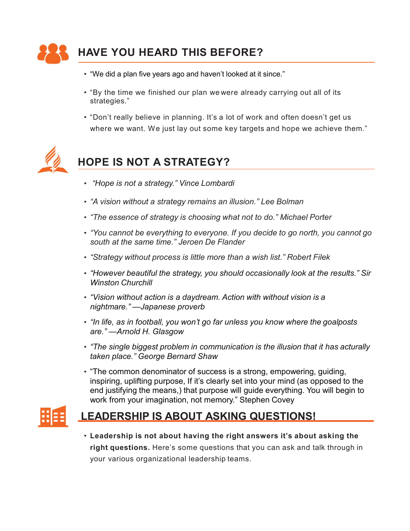

- 
- strategies."
- FRIM THIS BEFORE?<br>• "We did a plan five years ago and haven't looked at it since."<br>• "By the time we finished our plan we were already carrying out all of its<br>• "Don't really believe in planning. It's a lot of work and oft **IAVE YOU HEARD THIS BEFORE?**<br>• "We did a plan five years ago and haven't looked at it since."<br>• "By the time we finished our plan wewere already carrying out all of its<br>strategies."<br>• "Don't really believe in planning. It WE YOU HEARD THIS BEFORE?<br>"We did a plan five years ago and haven't looked at it since."<br>"By the time we finished our plan wewere already carrying out all of its<br>strategies."<br>"Don't really believe in planning. It's a lot o **HAVE YOU HEARD THIS BEFORE?**<br>
• "We did a plan five years ago and haven't looked at it since."<br>
• "By the time we finished our plan we were already carrying out all of its<br>
strategies."<br>
• "Don't really believe in planni **IAVE YOU HEARD THIS BEFORE?**<br>• "We did a plan five years ago and haven't looked at it since."<br>• "By the time we finished our plan wewere already carrying out all of its<br>• strategies."<br>• "Don't really believe in planning. **EXEMP THIS BEFORE?**<br>
• "We did a plan five years ago and haven't looked at it since."<br>
• "By the time we finished our plan wewere already carrying out all of its<br>
strategies."<br>
• "Don't really believe in planning. It's a south at the same time."<br>South at the same of the same of the same of the same of the same of the same of the same time."<br>
Ten't really believe in planning. It's a lot of work and often doesn't get us<br>
where we want. We ju



- "Hope is not a strategy." Vince Lombardi
- 
- 
- 
- 
- "However beautiful the strategy, you should occasionally look at the results." Sir Winston Churchill where we want. We just lay out some key targets and hope we achieve them."<br>
• "Hope is not a strategy." Vince Lombardi<br>
• "A vision without a strategy remains an illusion." Lee Bolman<br>
• "The essence of strategy is choosin **DPE IS NOT A STRATEGY?**<br>
"Hope is not a strategy." Vince Lombardi<br>
"A vision without a strategy remains an illusion." Lee Bolman<br>
"The essence of strategy is choosing what not to do." Michael Porter<br>
"You cannot be everyt • "Hope is not a strategy." Vince Lombardi<br>• "A vision without a strategy remains an illusion." Lee Bolman<br>• "The essence of strategy is choosing what not to do." Michael Porter<br>• "You cannot be everything to everyone. If **PPE IS NOT A STRATEGY?**<br>
"Hope is not a strategy." Vince Lombardi<br>
"A vision without a strategy remains an illusion." Lee Bolman<br>
"The essence of strategy is choosing what not to do." Michael Porter<br>
"You cannot be everyt
- 
- 
- taken place." George Bernard Shaw
- "Hope is not a strategy." Vince Lombardi<br>• "A vision without a strategy remains an illusion." Lee Bolman<br>• "The essence of strategy is choosing what not to do." Michael Porter<br>• "You cannot be everything to everyone. If • "The common denominator of success is a strong, empowering, guiding, inspiring, uplifting purpose, If it's clearly set into your mind (as opposed to the end justifying the means,) that purpose will guide everything. You will begin to work from your imagination, not memory." Stephen Covey South at the same time. Serben De Plander<br>
• "Strategy without process is little more than a wish list." Robert Filek<br>
• "However beautiful the strategy, you should occasionally look at the results." Sir<br>
• "Wision without Frowever beautiful the strategy, you should occasionally look at the results." Sir<br>Winston Churchill<br>"Vision without action is a daydream. Action with without vision is a<br>rightmare."—Japanese proverb<br>"In life, as in footba winstori charchim<br>
"Vision without action is a daydream. Action with without vision is a<br>
"nightmare." —Japanese proverb<br>
"In life, as in football, you won't go far unless you know where the goalposts<br>
are." —Arnold H. Gla

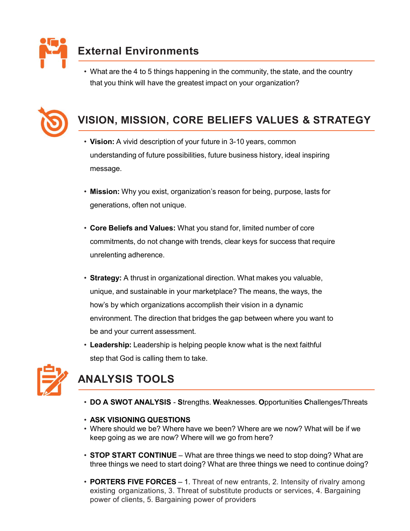

External Environments<br>• What are the 4 to 5 things happening in the community, the state, and the coun<br>that you think will have the greatest impact on your organization? • What are the 4 to 5 things happening in the community, the state, and the country **ternal Environments**<br>What are the 4 to 5 things happening in the community, the state, and the country<br>that you think will have the greatest impact on your organization?<br>SION, MISSION, CORE BELIEFS VALUES & STRATEGY



- External Environments<br>
 What are the 4 to 5 things happening in the community, the state, and the country<br>
that you think will have the greatest impact on your organization?<br>
 VISION, MISSION, CORE BELIEFS VALUES & STRAT • Vision: A vivid description of your future in 3-10 years, common understanding of future possibilities, future business history, ideal inspiring message. Referred Matter the 4 to 5 things happening in the community, the state, and the country<br>
that you think will have the greatest impact on your organization?<br>
1810N, MISSION, CORE BELIEFS VALUES & STRATEGY<br>
• Vision: A vivi that you think will have the greatest impact on your organization?<br>
1 SION, MISSION, CORE BELIEFS VALUES & STRATEGY<br>
• Vision: A vivid description of your future in 3-10 years, common<br>
understanding of future possibilities
	- Mission: Why you exist, organization's reason for being, purpose, lasts for
	- commitments, do not change with trends, clear keys for success that require
- unique, and sustainable in your marketplace? The means, the ways, the how's by which organizations accomplish their vision in a dynamic environment. The direction that bridges the gap between where you want to **be and your current assessment.** • Leadership: Leadership: Leadership: Leadership: Leadership: Leadership: Leadership: Leadership: Leadership: Leadership: Leadership: Leadership: Leadership: Leadership: Leadership: Leader Solential and Values: What you stand for, limited number of core<br>
Core Beliefs and Values: What you stand for, limited number of core<br>
commitments, do not change with trends, clear keys for success that require<br>
unrelentin • Core Bellers and Values: What you stand for, limited number of core<br>
commitments, do not change with trends, clear keys for success that require<br>
• Strategy: A thrust in organizational direction. What makes you valuable, keep going as we are now? Where will we go from here?<br>
• CONTERN FORTHER FORCES THE MEAT CONTINUE TO A WHOT SUPPORT THE MEAT CONTINUE TO A SWOT ANALYSIS TOOLS<br>
• CLACT CONTINUE - STOP START CONTINUE – STOP OF START CONTINU
	- step that God is calling them to take.



- 
- ASK VISIONING QUESTIONS
- Where should we be? Where have we been? Where are we now? What will be if we
- three things we need to start doing? What are three things we need to continue doing?
- From the minimum of the minimum of the statement of the statement of the minimum of the and your current assessment.<br>
 **Leadership:** Leadership is helping people know what is the next faithful<br>
step that God is calling th environment. The direction that bridges the gap between where you want to<br>be and your current assessment.<br>Leadership: Leadership is helping people know what is the next faithful<br>step that God is calling them to take.<br>**JALY** be and your current assessment.<br>
Leadership: Leadership is helping people know what is the next faithful<br>
step that God is calling them to take.<br>
<br> **JALYSIS TOOLS**<br>
DO A SWOT ANALYSIS - Strengths. Weaknesses. Opportunities